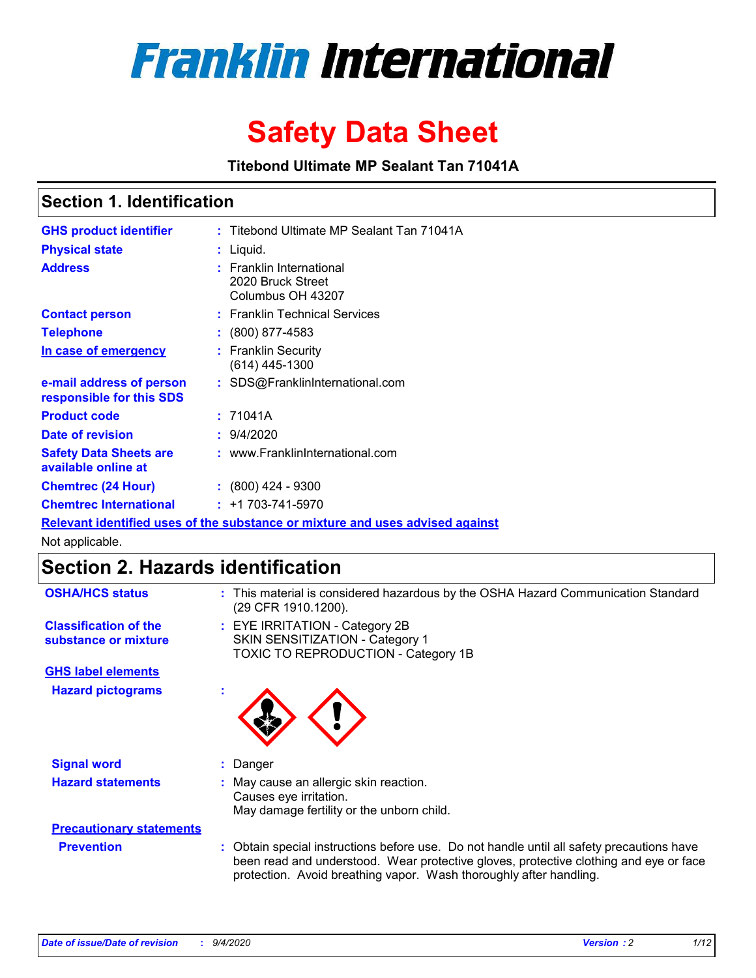

# **Safety Data Sheet**

**Titebond Ultimate MP Sealant Tan 71041A**

### **Section 1. Identification**

| <b>GHS product identifier</b>                        | : Titebond Ultimate MP Sealant Tan 71041A                                     |
|------------------------------------------------------|-------------------------------------------------------------------------------|
| <b>Physical state</b>                                | : Liquid.                                                                     |
| <b>Address</b>                                       | <b>Franklin International</b><br>2020 Bruck Street<br>Columbus OH 43207       |
| <b>Contact person</b>                                | : Franklin Technical Services                                                 |
| <b>Telephone</b>                                     | $\colon$ (800) 877-4583                                                       |
| In case of emergency                                 | : Franklin Security<br>(614) 445-1300                                         |
| e-mail address of person<br>responsible for this SDS | : SDS@FranklinInternational.com                                               |
| <b>Product code</b>                                  | : 71041A                                                                      |
| Date of revision                                     | : 9/4/2020                                                                    |
| <b>Safety Data Sheets are</b><br>available online at | : www.FranklinInternational.com                                               |
| <b>Chemtrec (24 Hour)</b>                            | $: (800)$ 424 - 9300                                                          |
| <b>Chemtrec International</b>                        | $: +1703 - 741 - 5970$                                                        |
|                                                      | Relevant identified uses of the substance or mixture and uses advised against |

Not applicable.

### **Section 2. Hazards identification**

| <b>OSHA/HCS status</b>                               |    | : This material is considered hazardous by the OSHA Hazard Communication Standard<br>(29 CFR 1910.1200).                                                                                                                                                 |
|------------------------------------------------------|----|----------------------------------------------------------------------------------------------------------------------------------------------------------------------------------------------------------------------------------------------------------|
| <b>Classification of the</b><br>substance or mixture |    | : EYE IRRITATION - Category 2B<br>SKIN SENSITIZATION - Category 1<br>TOXIC TO REPRODUCTION - Category 1B                                                                                                                                                 |
| <b>GHS label elements</b>                            |    |                                                                                                                                                                                                                                                          |
| <b>Hazard pictograms</b>                             | ٠  |                                                                                                                                                                                                                                                          |
| <b>Signal word</b>                                   | ÷. | Danger                                                                                                                                                                                                                                                   |
| <b>Hazard statements</b>                             |    | May cause an allergic skin reaction.<br>Causes eye irritation.<br>May damage fertility or the unborn child.                                                                                                                                              |
| <b>Precautionary statements</b>                      |    |                                                                                                                                                                                                                                                          |
| <b>Prevention</b>                                    |    | : Obtain special instructions before use. Do not handle until all safety precautions have<br>been read and understood. Wear protective gloves, protective clothing and eye or face<br>protection. Avoid breathing vapor. Wash thoroughly after handling. |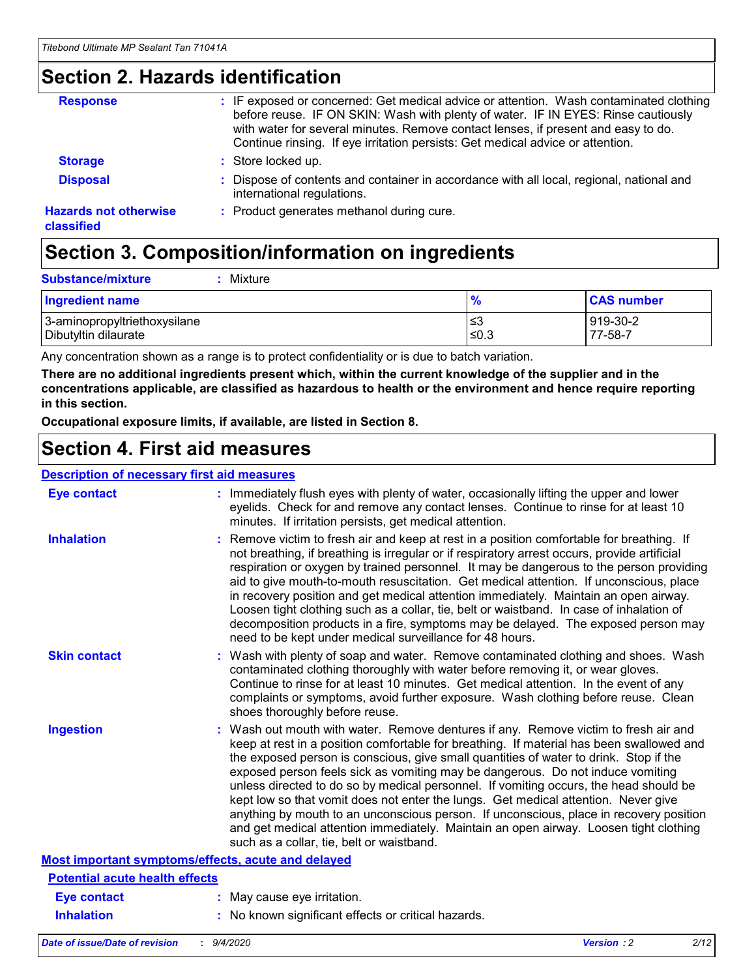### **Section 2. Hazards identification**

| <b>Response</b>                            | : IF exposed or concerned: Get medical advice or attention. Wash contaminated clothing<br>before reuse. IF ON SKIN: Wash with plenty of water. IF IN EYES: Rinse cautiously<br>with water for several minutes. Remove contact lenses, if present and easy to do.<br>Continue rinsing. If eye irritation persists: Get medical advice or attention. |
|--------------------------------------------|----------------------------------------------------------------------------------------------------------------------------------------------------------------------------------------------------------------------------------------------------------------------------------------------------------------------------------------------------|
| <b>Storage</b>                             | : Store locked up.                                                                                                                                                                                                                                                                                                                                 |
| <b>Disposal</b>                            | : Dispose of contents and container in accordance with all local, regional, national and<br>international regulations.                                                                                                                                                                                                                             |
| <b>Hazards not otherwise</b><br>classified | : Product generates methanol during cure.                                                                                                                                                                                                                                                                                                          |

# **Section 3. Composition/information on ingredients**

| <b>Substance/mixture</b> |  | : Mixture |
|--------------------------|--|-----------|
|--------------------------|--|-----------|

| <b>Ingredient name</b>       | $\bullet$<br>70 | <b>CAS number</b> |
|------------------------------|-----------------|-------------------|
| 3-aminopropyltriethoxysilane | צ≥              | 919-30-2          |
| Dibutyltin dilaurate         | ≤0.3            | 77-58-7           |

Any concentration shown as a range is to protect confidentiality or is due to batch variation.

**There are no additional ingredients present which, within the current knowledge of the supplier and in the concentrations applicable, are classified as hazardous to health or the environment and hence require reporting in this section.**

**Occupational exposure limits, if available, are listed in Section 8.**

### **Section 4. First aid measures**

| <b>Description of necessary first aid measures</b> |                                                                                                                                                                                                                                                                                                                                                                                                                                                                                                                                                                                                                                                                                                                                                                           |
|----------------------------------------------------|---------------------------------------------------------------------------------------------------------------------------------------------------------------------------------------------------------------------------------------------------------------------------------------------------------------------------------------------------------------------------------------------------------------------------------------------------------------------------------------------------------------------------------------------------------------------------------------------------------------------------------------------------------------------------------------------------------------------------------------------------------------------------|
| <b>Eye contact</b>                                 | : Immediately flush eyes with plenty of water, occasionally lifting the upper and lower<br>eyelids. Check for and remove any contact lenses. Continue to rinse for at least 10<br>minutes. If irritation persists, get medical attention.                                                                                                                                                                                                                                                                                                                                                                                                                                                                                                                                 |
| <b>Inhalation</b>                                  | : Remove victim to fresh air and keep at rest in a position comfortable for breathing. If<br>not breathing, if breathing is irregular or if respiratory arrest occurs, provide artificial<br>respiration or oxygen by trained personnel. It may be dangerous to the person providing<br>aid to give mouth-to-mouth resuscitation. Get medical attention. If unconscious, place<br>in recovery position and get medical attention immediately. Maintain an open airway.<br>Loosen tight clothing such as a collar, tie, belt or waistband. In case of inhalation of<br>decomposition products in a fire, symptoms may be delayed. The exposed person may<br>need to be kept under medical surveillance for 48 hours.                                                       |
| <b>Skin contact</b>                                | : Wash with plenty of soap and water. Remove contaminated clothing and shoes. Wash<br>contaminated clothing thoroughly with water before removing it, or wear gloves.<br>Continue to rinse for at least 10 minutes. Get medical attention. In the event of any<br>complaints or symptoms, avoid further exposure. Wash clothing before reuse. Clean<br>shoes thoroughly before reuse.                                                                                                                                                                                                                                                                                                                                                                                     |
| <b>Ingestion</b>                                   | : Wash out mouth with water. Remove dentures if any. Remove victim to fresh air and<br>keep at rest in a position comfortable for breathing. If material has been swallowed and<br>the exposed person is conscious, give small quantities of water to drink. Stop if the<br>exposed person feels sick as vomiting may be dangerous. Do not induce vomiting<br>unless directed to do so by medical personnel. If vomiting occurs, the head should be<br>kept low so that vomit does not enter the lungs. Get medical attention. Never give<br>anything by mouth to an unconscious person. If unconscious, place in recovery position<br>and get medical attention immediately. Maintain an open airway. Loosen tight clothing<br>such as a collar, tie, belt or waistband. |
| Most important symptoms/effects, acute and delayed |                                                                                                                                                                                                                                                                                                                                                                                                                                                                                                                                                                                                                                                                                                                                                                           |
| <b>Potential acute health effects</b>              |                                                                                                                                                                                                                                                                                                                                                                                                                                                                                                                                                                                                                                                                                                                                                                           |
| <b>Eye contact</b>                                 | : May cause eye irritation.                                                                                                                                                                                                                                                                                                                                                                                                                                                                                                                                                                                                                                                                                                                                               |
| <b>Inhalation</b>                                  | : No known significant effects or critical hazards.                                                                                                                                                                                                                                                                                                                                                                                                                                                                                                                                                                                                                                                                                                                       |
|                                                    |                                                                                                                                                                                                                                                                                                                                                                                                                                                                                                                                                                                                                                                                                                                                                                           |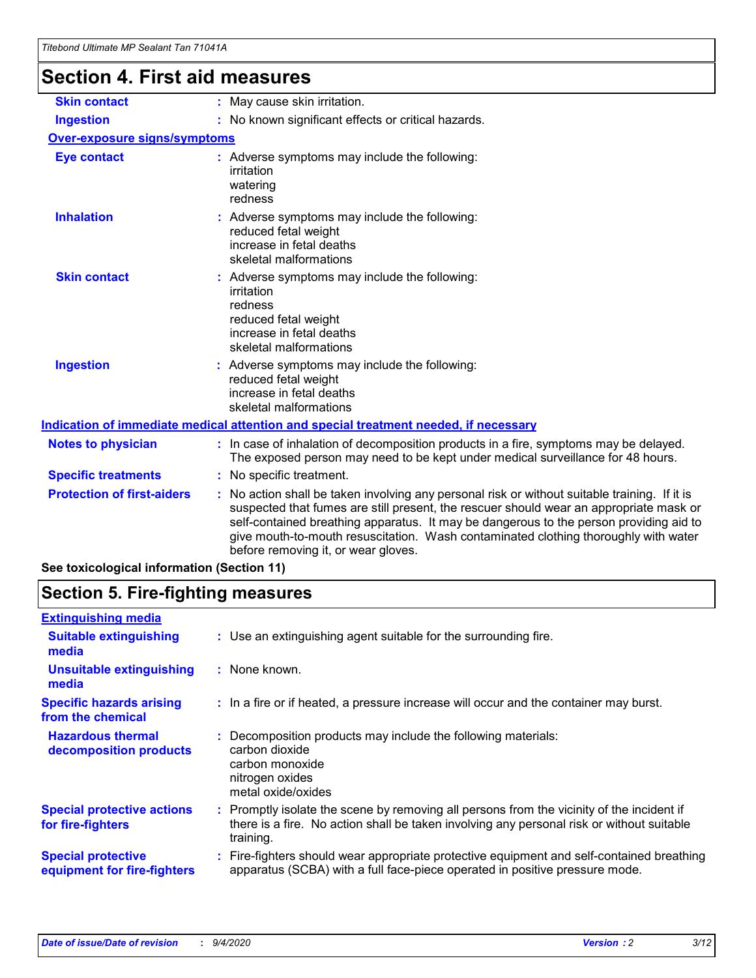# **Section 4. First aid measures**

| <b>Skin contact</b>                        | : May cause skin irritation.                                                                                                                                                                                                                                                                                                                                                                                  |
|--------------------------------------------|---------------------------------------------------------------------------------------------------------------------------------------------------------------------------------------------------------------------------------------------------------------------------------------------------------------------------------------------------------------------------------------------------------------|
| <b>Ingestion</b>                           | : No known significant effects or critical hazards.                                                                                                                                                                                                                                                                                                                                                           |
| <b>Over-exposure signs/symptoms</b>        |                                                                                                                                                                                                                                                                                                                                                                                                               |
| <b>Eye contact</b>                         | : Adverse symptoms may include the following:<br>irritation<br>watering<br>redness                                                                                                                                                                                                                                                                                                                            |
| <b>Inhalation</b>                          | Adverse symptoms may include the following:<br>reduced fetal weight<br>increase in fetal deaths<br>skeletal malformations                                                                                                                                                                                                                                                                                     |
| <b>Skin contact</b>                        | Adverse symptoms may include the following:<br>irritation<br>redness<br>reduced fetal weight<br>increase in fetal deaths<br>skeletal malformations                                                                                                                                                                                                                                                            |
| <b>Ingestion</b>                           | : Adverse symptoms may include the following:<br>reduced fetal weight<br>increase in fetal deaths<br>skeletal malformations                                                                                                                                                                                                                                                                                   |
|                                            | Indication of immediate medical attention and special treatment needed, if necessary                                                                                                                                                                                                                                                                                                                          |
| <b>Notes to physician</b>                  | : In case of inhalation of decomposition products in a fire, symptoms may be delayed.<br>The exposed person may need to be kept under medical surveillance for 48 hours.                                                                                                                                                                                                                                      |
| <b>Specific treatments</b>                 | : No specific treatment.                                                                                                                                                                                                                                                                                                                                                                                      |
| <b>Protection of first-aiders</b>          | No action shall be taken involving any personal risk or without suitable training. If it is<br>suspected that fumes are still present, the rescuer should wear an appropriate mask or<br>self-contained breathing apparatus. It may be dangerous to the person providing aid to<br>give mouth-to-mouth resuscitation. Wash contaminated clothing thoroughly with water<br>before removing it, or wear gloves. |
| See toxicological information (Section 11) |                                                                                                                                                                                                                                                                                                                                                                                                               |

# **Section 5. Fire-fighting measures**

| : Use an extinguishing agent suitable for the surrounding fire.                                                                                                                                     |
|-----------------------------------------------------------------------------------------------------------------------------------------------------------------------------------------------------|
| : None known.                                                                                                                                                                                       |
| : In a fire or if heated, a pressure increase will occur and the container may burst.                                                                                                               |
| Decomposition products may include the following materials:<br>carbon dioxide<br>carbon monoxide<br>nitrogen oxides<br>metal oxide/oxides                                                           |
| : Promptly isolate the scene by removing all persons from the vicinity of the incident if<br>there is a fire. No action shall be taken involving any personal risk or without suitable<br>training. |
| Fire-fighters should wear appropriate protective equipment and self-contained breathing<br>apparatus (SCBA) with a full face-piece operated in positive pressure mode.                              |
|                                                                                                                                                                                                     |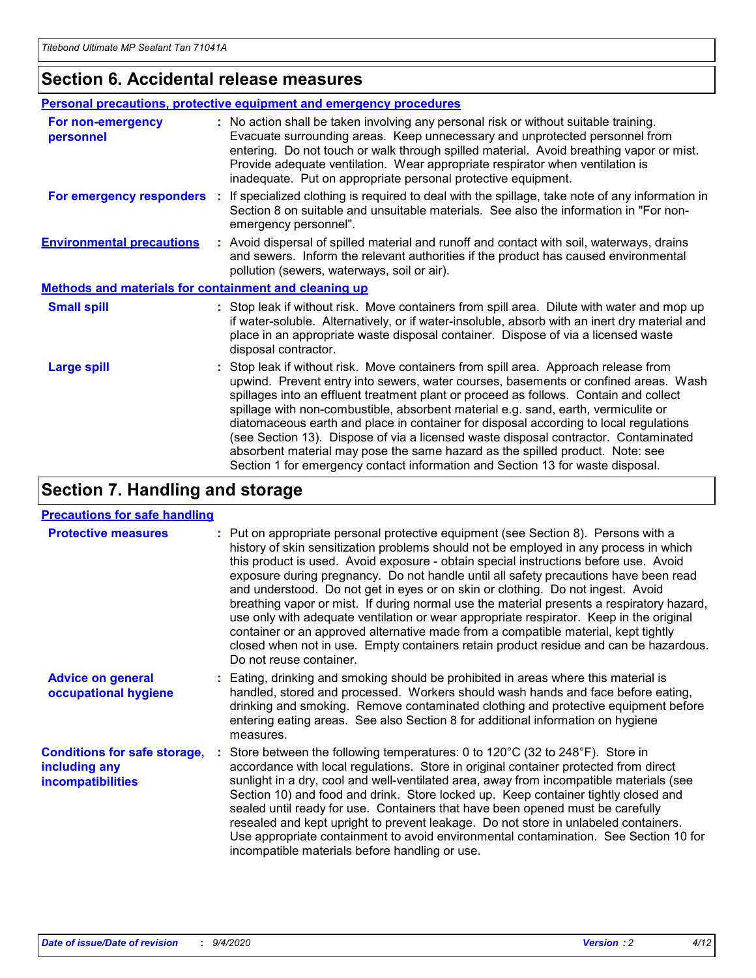### **Section 6. Accidental release measures**

|                                                              | <b>Personal precautions, protective equipment and emergency procedures</b>                                                                                                                                                                                                                                                                                                                                                                                                                                                                                                                                                                                                                                   |
|--------------------------------------------------------------|--------------------------------------------------------------------------------------------------------------------------------------------------------------------------------------------------------------------------------------------------------------------------------------------------------------------------------------------------------------------------------------------------------------------------------------------------------------------------------------------------------------------------------------------------------------------------------------------------------------------------------------------------------------------------------------------------------------|
| For non-emergency<br>personnel                               | : No action shall be taken involving any personal risk or without suitable training.<br>Evacuate surrounding areas. Keep unnecessary and unprotected personnel from<br>entering. Do not touch or walk through spilled material. Avoid breathing vapor or mist.<br>Provide adequate ventilation. Wear appropriate respirator when ventilation is<br>inadequate. Put on appropriate personal protective equipment.                                                                                                                                                                                                                                                                                             |
| For emergency responders                                     | : If specialized clothing is required to deal with the spillage, take note of any information in<br>Section 8 on suitable and unsuitable materials. See also the information in "For non-<br>emergency personnel".                                                                                                                                                                                                                                                                                                                                                                                                                                                                                           |
| <b>Environmental precautions</b>                             | : Avoid dispersal of spilled material and runoff and contact with soil, waterways, drains<br>and sewers. Inform the relevant authorities if the product has caused environmental<br>pollution (sewers, waterways, soil or air).                                                                                                                                                                                                                                                                                                                                                                                                                                                                              |
| <b>Methods and materials for containment and cleaning up</b> |                                                                                                                                                                                                                                                                                                                                                                                                                                                                                                                                                                                                                                                                                                              |
| <b>Small spill</b>                                           | : Stop leak if without risk. Move containers from spill area. Dilute with water and mop up<br>if water-soluble. Alternatively, or if water-insoluble, absorb with an inert dry material and<br>place in an appropriate waste disposal container. Dispose of via a licensed waste<br>disposal contractor.                                                                                                                                                                                                                                                                                                                                                                                                     |
| <b>Large spill</b>                                           | : Stop leak if without risk. Move containers from spill area. Approach release from<br>upwind. Prevent entry into sewers, water courses, basements or confined areas. Wash<br>spillages into an effluent treatment plant or proceed as follows. Contain and collect<br>spillage with non-combustible, absorbent material e.g. sand, earth, vermiculite or<br>diatomaceous earth and place in container for disposal according to local regulations<br>(see Section 13). Dispose of via a licensed waste disposal contractor. Contaminated<br>absorbent material may pose the same hazard as the spilled product. Note: see<br>Section 1 for emergency contact information and Section 13 for waste disposal. |

### **Section 7. Handling and storage**

#### **Precautions for safe handling**

| <b>Protective measures</b>                                                       | : Put on appropriate personal protective equipment (see Section 8). Persons with a<br>history of skin sensitization problems should not be employed in any process in which<br>this product is used. Avoid exposure - obtain special instructions before use. Avoid<br>exposure during pregnancy. Do not handle until all safety precautions have been read<br>and understood. Do not get in eyes or on skin or clothing. Do not ingest. Avoid<br>breathing vapor or mist. If during normal use the material presents a respiratory hazard,<br>use only with adequate ventilation or wear appropriate respirator. Keep in the original<br>container or an approved alternative made from a compatible material, kept tightly<br>closed when not in use. Empty containers retain product residue and can be hazardous.<br>Do not reuse container. |
|----------------------------------------------------------------------------------|--------------------------------------------------------------------------------------------------------------------------------------------------------------------------------------------------------------------------------------------------------------------------------------------------------------------------------------------------------------------------------------------------------------------------------------------------------------------------------------------------------------------------------------------------------------------------------------------------------------------------------------------------------------------------------------------------------------------------------------------------------------------------------------------------------------------------------------------------|
| <b>Advice on general</b><br>occupational hygiene                                 | : Eating, drinking and smoking should be prohibited in areas where this material is<br>handled, stored and processed. Workers should wash hands and face before eating,<br>drinking and smoking. Remove contaminated clothing and protective equipment before<br>entering eating areas. See also Section 8 for additional information on hygiene<br>measures.                                                                                                                                                                                                                                                                                                                                                                                                                                                                                    |
| <b>Conditions for safe storage,</b><br>including any<br><i>incompatibilities</i> | Store between the following temperatures: 0 to 120°C (32 to 248°F). Store in<br>accordance with local regulations. Store in original container protected from direct<br>sunlight in a dry, cool and well-ventilated area, away from incompatible materials (see<br>Section 10) and food and drink. Store locked up. Keep container tightly closed and<br>sealed until ready for use. Containers that have been opened must be carefully<br>resealed and kept upright to prevent leakage. Do not store in unlabeled containers.<br>Use appropriate containment to avoid environmental contamination. See Section 10 for<br>incompatible materials before handling or use.                                                                                                                                                                         |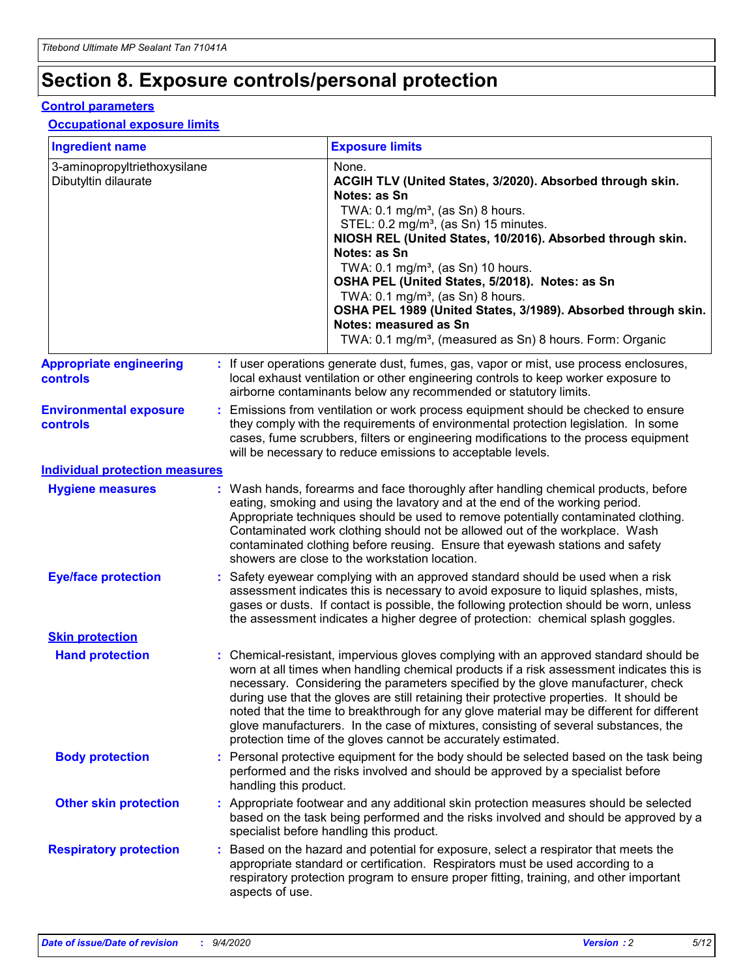## **Section 8. Exposure controls/personal protection**

#### **Control parameters**

#### **Occupational exposure limits**

| <b>Ingredient name</b>                               |                        | <b>Exposure limits</b>                                                                                                                                                                                                                                                                                                                                                                                                                                                                                                                                                                                                 |
|------------------------------------------------------|------------------------|------------------------------------------------------------------------------------------------------------------------------------------------------------------------------------------------------------------------------------------------------------------------------------------------------------------------------------------------------------------------------------------------------------------------------------------------------------------------------------------------------------------------------------------------------------------------------------------------------------------------|
| 3-aminopropyltriethoxysilane<br>Dibutyltin dilaurate |                        | None.<br>ACGIH TLV (United States, 3/2020). Absorbed through skin.<br>Notes: as Sn<br>TWA: 0.1 mg/m <sup>3</sup> , (as Sn) 8 hours.<br>STEL: 0.2 mg/m <sup>3</sup> , (as Sn) 15 minutes.<br>NIOSH REL (United States, 10/2016). Absorbed through skin.<br>Notes: as Sn<br>TWA: 0.1 mg/m <sup>3</sup> , (as Sn) 10 hours.<br>OSHA PEL (United States, 5/2018). Notes: as Sn<br>TWA: $0.1 \text{ mg/m}^3$ , (as Sn) 8 hours.<br>OSHA PEL 1989 (United States, 3/1989). Absorbed through skin.<br>Notes: measured as Sn<br>TWA: 0.1 mg/m <sup>3</sup> , (measured as Sn) 8 hours. Form: Organic                           |
| <b>Appropriate engineering</b><br><b>controls</b>    |                        | : If user operations generate dust, fumes, gas, vapor or mist, use process enclosures,<br>local exhaust ventilation or other engineering controls to keep worker exposure to<br>airborne contaminants below any recommended or statutory limits.                                                                                                                                                                                                                                                                                                                                                                       |
| <b>Environmental exposure</b><br><b>controls</b>     |                        | Emissions from ventilation or work process equipment should be checked to ensure<br>they comply with the requirements of environmental protection legislation. In some<br>cases, fume scrubbers, filters or engineering modifications to the process equipment<br>will be necessary to reduce emissions to acceptable levels.                                                                                                                                                                                                                                                                                          |
| <b>Individual protection measures</b>                |                        |                                                                                                                                                                                                                                                                                                                                                                                                                                                                                                                                                                                                                        |
| <b>Hygiene measures</b>                              |                        | : Wash hands, forearms and face thoroughly after handling chemical products, before<br>eating, smoking and using the lavatory and at the end of the working period.<br>Appropriate techniques should be used to remove potentially contaminated clothing.<br>Contaminated work clothing should not be allowed out of the workplace. Wash<br>contaminated clothing before reusing. Ensure that eyewash stations and safety<br>showers are close to the workstation location.                                                                                                                                            |
| <b>Eye/face protection</b>                           |                        | : Safety eyewear complying with an approved standard should be used when a risk<br>assessment indicates this is necessary to avoid exposure to liquid splashes, mists,<br>gases or dusts. If contact is possible, the following protection should be worn, unless<br>the assessment indicates a higher degree of protection: chemical splash goggles.                                                                                                                                                                                                                                                                  |
| <b>Skin protection</b>                               |                        |                                                                                                                                                                                                                                                                                                                                                                                                                                                                                                                                                                                                                        |
| <b>Hand protection</b>                               |                        | : Chemical-resistant, impervious gloves complying with an approved standard should be<br>worn at all times when handling chemical products if a risk assessment indicates this is<br>necessary. Considering the parameters specified by the glove manufacturer, check<br>during use that the gloves are still retaining their protective properties. It should be<br>noted that the time to breakthrough for any glove material may be different for different<br>glove manufacturers. In the case of mixtures, consisting of several substances, the<br>protection time of the gloves cannot be accurately estimated. |
| <b>Body protection</b>                               | handling this product. | : Personal protective equipment for the body should be selected based on the task being<br>performed and the risks involved and should be approved by a specialist before                                                                                                                                                                                                                                                                                                                                                                                                                                              |
| <b>Other skin protection</b>                         |                        | : Appropriate footwear and any additional skin protection measures should be selected<br>based on the task being performed and the risks involved and should be approved by a<br>specialist before handling this product.                                                                                                                                                                                                                                                                                                                                                                                              |
| <b>Respiratory protection</b>                        | aspects of use.        | : Based on the hazard and potential for exposure, select a respirator that meets the<br>appropriate standard or certification. Respirators must be used according to a<br>respiratory protection program to ensure proper fitting, training, and other important                                                                                                                                                                                                                                                                                                                                                       |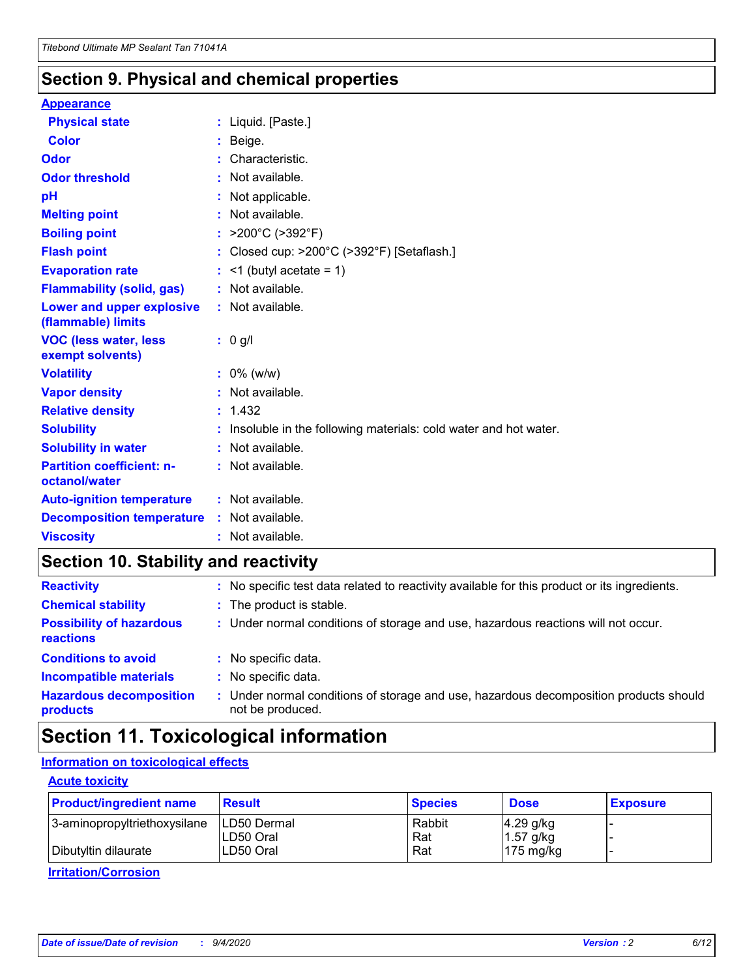### **Section 9. Physical and chemical properties**

#### **Appearance**

| <b>Physical state</b>                             | : Liquid. [Paste.]                                              |
|---------------------------------------------------|-----------------------------------------------------------------|
| Color                                             | Beige.                                                          |
| Odor                                              | Characteristic.                                                 |
| <b>Odor threshold</b>                             | $:$ Not available.                                              |
| рH                                                | : Not applicable.                                               |
| <b>Melting point</b>                              | : Not available.                                                |
| <b>Boiling point</b>                              | : $>200^{\circ}$ C ( $>392^{\circ}$ F)                          |
| <b>Flash point</b>                                | : Closed cup: >200°C (>392°F) [Setaflash.]                      |
| <b>Evaporation rate</b>                           | $:$ <1 (butyl acetate = 1)                                      |
| <b>Flammability (solid, gas)</b>                  | : Not available.                                                |
| Lower and upper explosive<br>(flammable) limits   | : Not available.                                                |
| <b>VOC (less water, less</b><br>exempt solvents)  | $: 0$ g/l                                                       |
| <b>Volatility</b>                                 | $: 0\%$ (w/w)                                                   |
| <b>Vapor density</b>                              | : Not available.                                                |
| <b>Relative density</b>                           | : 1.432                                                         |
| <b>Solubility</b>                                 | Insoluble in the following materials: cold water and hot water. |
| <b>Solubility in water</b>                        | : Not available.                                                |
| <b>Partition coefficient: n-</b><br>octanol/water | $:$ Not available.                                              |
|                                                   |                                                                 |
| <b>Auto-ignition temperature</b>                  | : Not available.                                                |
| <b>Decomposition temperature</b>                  | : Not available.                                                |

### **Section 10. Stability and reactivity**

| <b>Reactivity</b>                            | : No specific test data related to reactivity available for this product or its ingredients.              |
|----------------------------------------------|-----------------------------------------------------------------------------------------------------------|
| <b>Chemical stability</b>                    | : The product is stable.                                                                                  |
| <b>Possibility of hazardous</b><br>reactions | : Under normal conditions of storage and use, hazardous reactions will not occur.                         |
| <b>Conditions to avoid</b>                   | : No specific data.                                                                                       |
| <b>Incompatible materials</b>                | : No specific data.                                                                                       |
| <b>Hazardous decomposition</b><br>products   | : Under normal conditions of storage and use, hazardous decomposition products should<br>not be produced. |

### **Section 11. Toxicological information**

### **Information on toxicological effects**

#### **Acute toxicity**

| <b>Product/ingredient name</b> | <b>Result</b>           | <b>Species</b> | <b>Dose</b>                | <b>Exposure</b> |
|--------------------------------|-------------------------|----------------|----------------------------|-----------------|
| 3-aminopropyltriethoxysilane   | <b>ILD50 Dermal</b>     | Rabbit         | 4.29 g/kg                  |                 |
| Dibutyltin dilaurate           | ILD50 Oral<br>LD50 Oral | Rat<br>Rat     | $1.57$ g/kg<br>175 $mg/kg$ |                 |
|                                |                         |                |                            |                 |

**Irritation/Corrosion**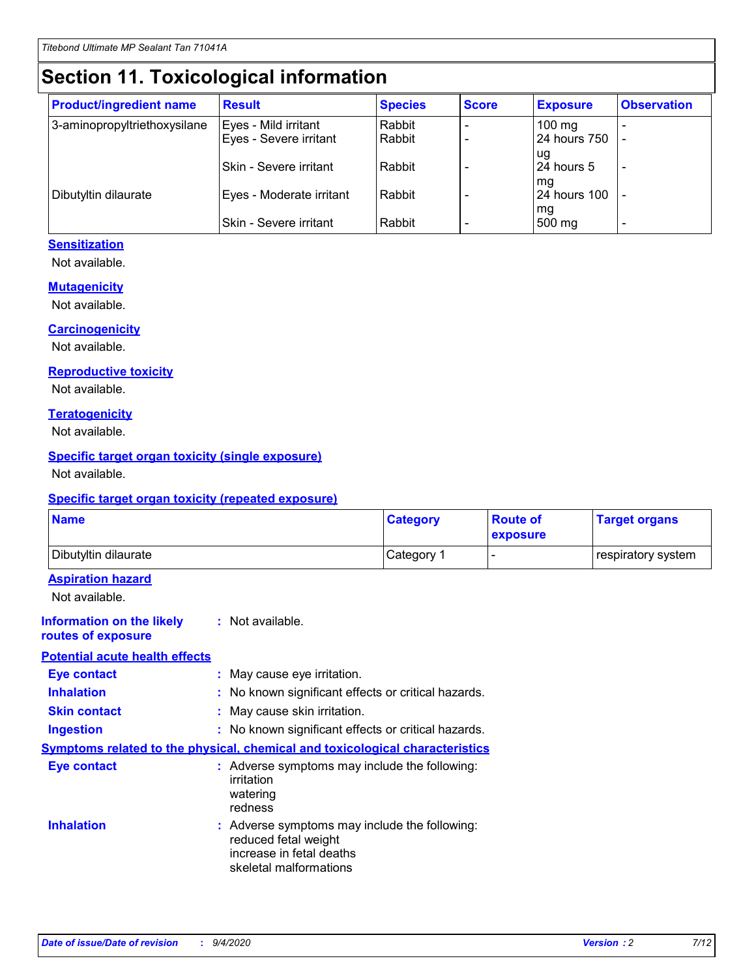# **Section 11. Toxicological information**

| <b>Product/ingredient name</b> | <b>Result</b>            | <b>Species</b> | <b>Score</b> | <b>Exposure</b>     | <b>Observation</b> |
|--------------------------------|--------------------------|----------------|--------------|---------------------|--------------------|
| 3-aminopropyltriethoxysilane   | Eyes - Mild irritant     | Rabbit         |              | $100 \text{ mg}$    |                    |
|                                | Eyes - Severe irritant   | Rabbit         |              | 24 hours 750        |                    |
|                                |                          |                |              | ug                  |                    |
|                                | Skin - Severe irritant   | Rabbit         |              | 24 hours 5          |                    |
|                                |                          |                |              | mq                  |                    |
| Dibutyltin dilaurate           | Eyes - Moderate irritant | Rabbit         |              | <b>24 hours 100</b> |                    |
|                                | Skin - Severe irritant   | Rabbit         |              | mg<br>500 mg        |                    |
|                                |                          |                |              |                     |                    |

#### **Sensitization**

Not available.

#### **Mutagenicity**

Not available.

#### **Carcinogenicity**

Not available.

#### **Reproductive toxicity**

Not available.

#### **Teratogenicity**

Not available.

#### **Specific target organ toxicity (single exposure)**

Not available.

#### **Specific target organ toxicity (repeated exposure)**

| <b>Name</b>                                                                         |                                                                            | <b>Category</b>                                     | <b>Route of</b><br>exposure | <b>Target organs</b> |  |
|-------------------------------------------------------------------------------------|----------------------------------------------------------------------------|-----------------------------------------------------|-----------------------------|----------------------|--|
| Dibutyltin dilaurate                                                                |                                                                            | Category 1                                          |                             | respiratory system   |  |
| <b>Aspiration hazard</b><br>Not available.                                          |                                                                            |                                                     |                             |                      |  |
| <b>Information on the likely</b><br>routes of exposure                              | : Not available.                                                           |                                                     |                             |                      |  |
| <b>Potential acute health effects</b>                                               |                                                                            |                                                     |                             |                      |  |
| <b>Eye contact</b>                                                                  | : May cause eye irritation.                                                |                                                     |                             |                      |  |
| <b>Inhalation</b>                                                                   |                                                                            | : No known significant effects or critical hazards. |                             |                      |  |
| <b>Skin contact</b>                                                                 |                                                                            | : May cause skin irritation.                        |                             |                      |  |
| <b>Ingestion</b>                                                                    |                                                                            | : No known significant effects or critical hazards. |                             |                      |  |
| <b>Symptoms related to the physical, chemical and toxicological characteristics</b> |                                                                            |                                                     |                             |                      |  |
| <b>Eye contact</b>                                                                  | irritation<br>watering<br>redness                                          | : Adverse symptoms may include the following:       |                             |                      |  |
| <b>Inhalation</b>                                                                   | reduced fetal weight<br>increase in fetal deaths<br>skeletal malformations | : Adverse symptoms may include the following:       |                             |                      |  |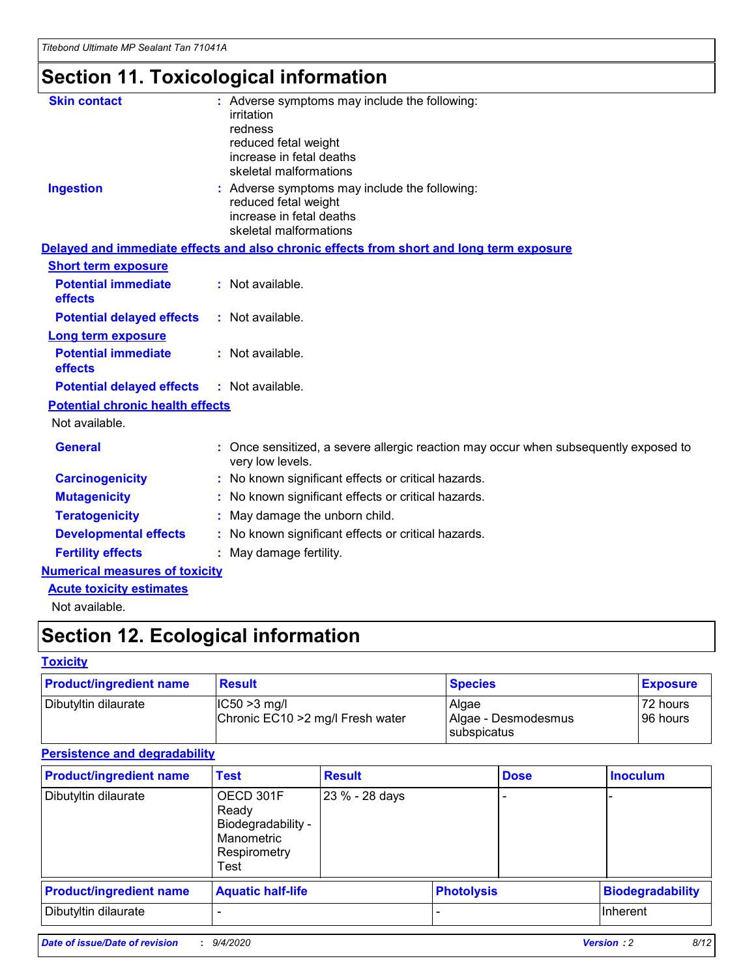# **Section 11. Toxicological information**

| <b>Skin contact</b>                     | : Adverse symptoms may include the following:                                                            |
|-----------------------------------------|----------------------------------------------------------------------------------------------------------|
|                                         | irritation                                                                                               |
|                                         | redness                                                                                                  |
|                                         | reduced fetal weight                                                                                     |
|                                         | increase in fetal deaths                                                                                 |
|                                         | skeletal malformations                                                                                   |
| <b>Ingestion</b>                        | : Adverse symptoms may include the following:                                                            |
|                                         | reduced fetal weight                                                                                     |
|                                         | increase in fetal deaths                                                                                 |
|                                         | skeletal malformations                                                                                   |
|                                         | Delayed and immediate effects and also chronic effects from short and long term exposure                 |
| <b>Short term exposure</b>              |                                                                                                          |
| <b>Potential immediate</b>              | : Not available.                                                                                         |
| effects                                 |                                                                                                          |
| <b>Potential delayed effects</b>        | : Not available.                                                                                         |
| Long term exposure                      |                                                                                                          |
| <b>Potential immediate</b>              | : Not available.                                                                                         |
| effects                                 |                                                                                                          |
| <b>Potential delayed effects</b>        | : Not available.                                                                                         |
| <b>Potential chronic health effects</b> |                                                                                                          |
| Not available.                          |                                                                                                          |
| <b>General</b>                          | : Once sensitized, a severe allergic reaction may occur when subsequently exposed to<br>very low levels. |
| <b>Carcinogenicity</b>                  | : No known significant effects or critical hazards.                                                      |
| <b>Mutagenicity</b>                     | : No known significant effects or critical hazards.                                                      |
| <b>Teratogenicity</b>                   | May damage the unborn child.                                                                             |
| <b>Developmental effects</b>            | : No known significant effects or critical hazards.                                                      |
| <b>Fertility effects</b>                | May damage fertility.                                                                                    |
| <b>Numerical measures of toxicity</b>   |                                                                                                          |
| <b>Acute toxicity estimates</b>         |                                                                                                          |
| الملمانة المستنقط فالمرابط              |                                                                                                          |

Not available.

## **Section 12. Ecological information**

#### **Toxicity**

| <b>Product/ingredient name</b> | <b>Result</b>                                       | <b>Species</b>               | <b>Exposure</b>       |
|--------------------------------|-----------------------------------------------------|------------------------------|-----------------------|
| Dibutyltin dilaurate           | $ CC50>3$ mg/l<br>Chronic EC10 > 2 mg/l Fresh water | Algae<br>Algae - Desmodesmus | 72 hours<br>196 hours |
|                                |                                                     | <b>I</b> subspicatus         |                       |

#### **Persistence and degradability**

| <b>Product/ingredient name</b> | <b>Test</b>                                                                    | <b>Result</b>  |                   | <b>Dose</b> | <b>Inoculum</b>         |
|--------------------------------|--------------------------------------------------------------------------------|----------------|-------------------|-------------|-------------------------|
| Dibutyltin dilaurate           | OECD 301F<br>Ready<br>Biodegradability -<br>Manometric<br>Respirometry<br>Test | 23 % - 28 days |                   |             |                         |
| <b>Product/ingredient name</b> | <b>Aquatic half-life</b>                                                       |                | <b>Photolysis</b> |             | <b>Biodegradability</b> |
| Dibutyltin dilaurate           |                                                                                |                |                   |             | <b>Inherent</b>         |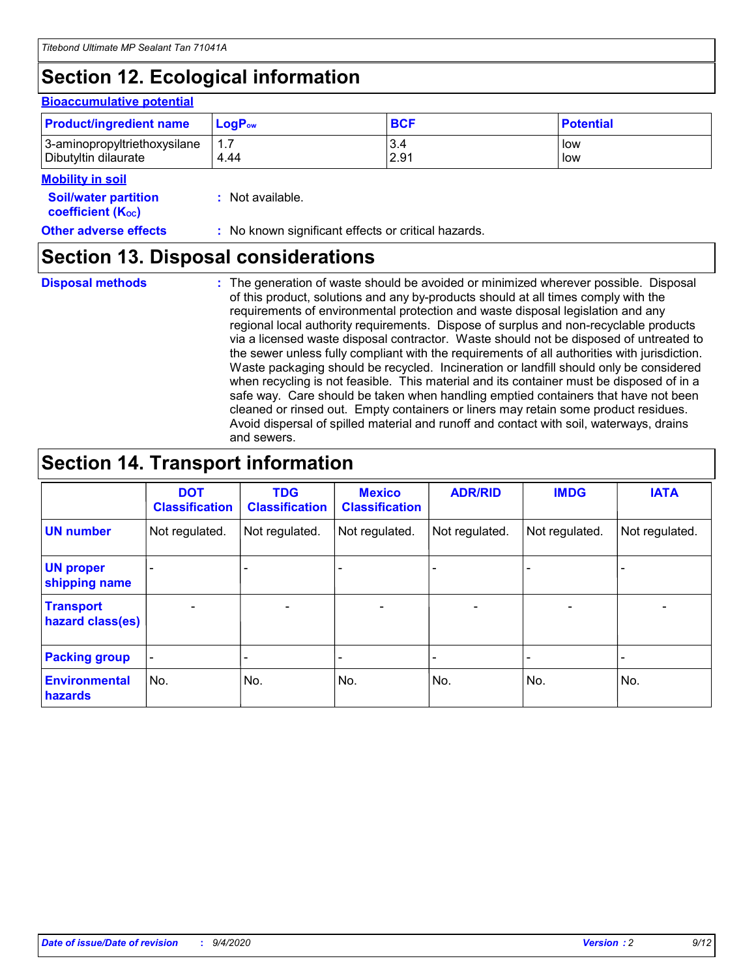## **Section 12. Ecological information**

#### **Bioaccumulative potential**

| <b>Product/ingredient name</b> | <b>LogP</b> <sub>ow</sub> | <b>BCF</b> | <b>Potential</b> |
|--------------------------------|---------------------------|------------|------------------|
| 3-aminopropyltriethoxysilane   | 4.44                      | 3.4        | low              |
| Dibutyltin dilaurate           |                           | 2.91       | low              |

#### **Mobility in soil**

| <b>Soil/water partition</b> | : Not available. |
|-----------------------------|------------------|
| <b>coefficient (Koc)</b>    |                  |

**Other adverse effects** : No known significant effects or critical hazards.

### **Section 13. Disposal considerations**

**Disposal methods :**

The generation of waste should be avoided or minimized wherever possible. Disposal of this product, solutions and any by-products should at all times comply with the requirements of environmental protection and waste disposal legislation and any regional local authority requirements. Dispose of surplus and non-recyclable products via a licensed waste disposal contractor. Waste should not be disposed of untreated to the sewer unless fully compliant with the requirements of all authorities with jurisdiction. Waste packaging should be recycled. Incineration or landfill should only be considered when recycling is not feasible. This material and its container must be disposed of in a safe way. Care should be taken when handling emptied containers that have not been cleaned or rinsed out. Empty containers or liners may retain some product residues. Avoid dispersal of spilled material and runoff and contact with soil, waterways, drains and sewers.

### **Section 14. Transport information**

|                                      | <b>DOT</b><br><b>Classification</b> | <b>TDG</b><br><b>Classification</b> | <b>Mexico</b><br><b>Classification</b> | <b>ADR/RID</b>           | <b>IMDG</b>              | <b>IATA</b>    |
|--------------------------------------|-------------------------------------|-------------------------------------|----------------------------------------|--------------------------|--------------------------|----------------|
| <b>UN number</b>                     | Not regulated.                      | Not regulated.                      | Not regulated.                         | Not regulated.           | Not regulated.           | Not regulated. |
| <b>UN proper</b><br>shipping name    |                                     |                                     |                                        |                          |                          |                |
| <b>Transport</b><br>hazard class(es) |                                     | $\overline{\phantom{0}}$            | $\qquad \qquad \blacksquare$           | $\overline{\phantom{0}}$ | $\overline{\phantom{0}}$ |                |
| <b>Packing group</b>                 |                                     |                                     |                                        |                          |                          |                |
| <b>Environmental</b><br>hazards      | No.                                 | No.                                 | No.                                    | No.                      | No.                      | No.            |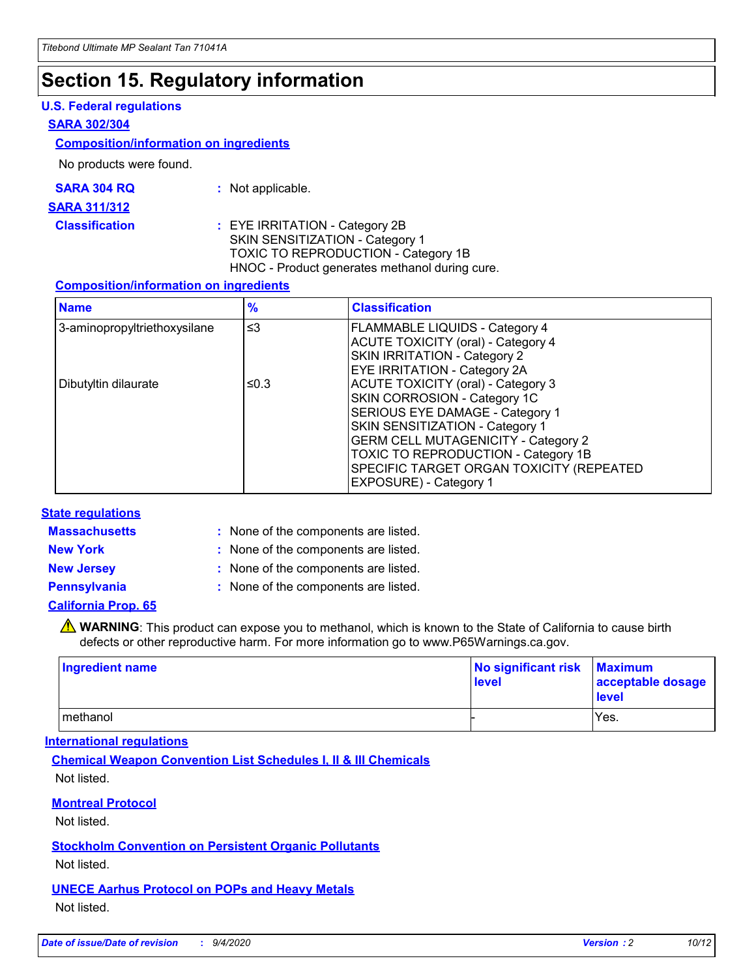### **Section 15. Regulatory information**

#### **U.S. Federal regulations**

#### **SARA 302/304**

#### **Composition/information on ingredients**

No products were found.

| SARA 304 RQ | Not applicable. |
|-------------|-----------------|
|-------------|-----------------|

#### **SARA 311/312**

#### **Classification :** EYE IRRITATION - Category 2B SKIN SENSITIZATION - Category 1 TOXIC TO REPRODUCTION - Category 1B HNOC - Product generates methanol during cure.

#### **Composition/information on ingredients**

| <b>Name</b>                  | $\frac{9}{6}$ | <b>Classification</b>                                                                                                                                                                                                                                                                                      |
|------------------------------|---------------|------------------------------------------------------------------------------------------------------------------------------------------------------------------------------------------------------------------------------------------------------------------------------------------------------------|
| 3-aminopropyltriethoxysilane | $\leq$ 3      | <b>FLAMMABLE LIQUIDS - Category 4</b><br><b>ACUTE TOXICITY (oral) - Category 4</b><br><b>SKIN IRRITATION - Category 2</b><br>EYE IRRITATION - Category 2A                                                                                                                                                  |
| Dibutyltin dilaurate         | ≤0.3          | <b>ACUTE TOXICITY (oral) - Category 3</b><br>SKIN CORROSION - Category 1C<br>SERIOUS EYE DAMAGE - Category 1<br>SKIN SENSITIZATION - Category 1<br><b>GERM CELL MUTAGENICITY - Category 2</b><br>TOXIC TO REPRODUCTION - Category 1B<br>SPECIFIC TARGET ORGAN TOXICITY (REPEATED<br>EXPOSURE) - Category 1 |

#### **State regulations**

**Massachusetts :**

: None of the components are listed.

**New York :** None of the components are listed. **New Jersey :** None of the components are listed.

**Pennsylvania :** None of the components are listed.

#### **California Prop. 65**

WARNING: This product can expose you to methanol, which is known to the State of California to cause birth defects or other reproductive harm. For more information go to www.P65Warnings.ca.gov.

| Ingredient name | No significant risk<br>level | <b>Maximum</b><br>acceptable dosage<br><b>level</b> |
|-----------------|------------------------------|-----------------------------------------------------|
| l methanol      |                              | Yes.                                                |

#### **International regulations**

**Chemical Weapon Convention List Schedules I, II & III Chemicals** Not listed.

#### **Montreal Protocol**

Not listed.

**Stockholm Convention on Persistent Organic Pollutants**

Not listed.

#### **UNECE Aarhus Protocol on POPs and Heavy Metals** Not listed.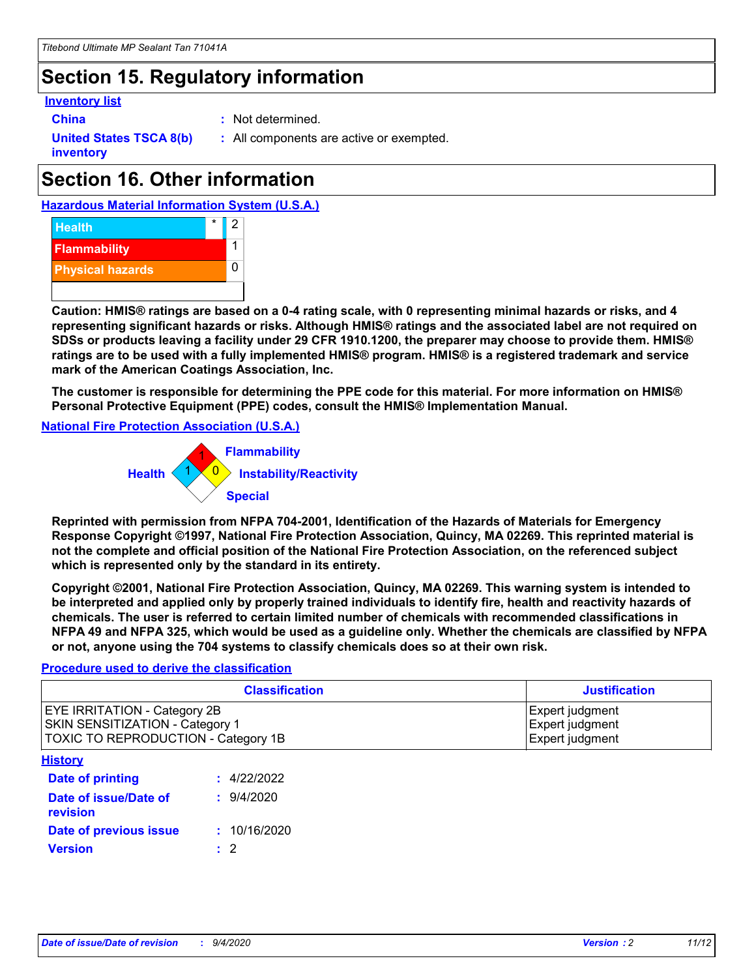### **Section 15. Regulatory information**

#### **Inventory list**

**China :** Not determined.

**United States TSCA 8(b) inventory**

**:** All components are active or exempted.

## **Section 16. Other information**





**Caution: HMIS® ratings are based on a 0-4 rating scale, with 0 representing minimal hazards or risks, and 4 representing significant hazards or risks. Although HMIS® ratings and the associated label are not required on SDSs or products leaving a facility under 29 CFR 1910.1200, the preparer may choose to provide them. HMIS® ratings are to be used with a fully implemented HMIS® program. HMIS® is a registered trademark and service mark of the American Coatings Association, Inc.**

**The customer is responsible for determining the PPE code for this material. For more information on HMIS® Personal Protective Equipment (PPE) codes, consult the HMIS® Implementation Manual.**

**National Fire Protection Association (U.S.A.)**



**Reprinted with permission from NFPA 704-2001, Identification of the Hazards of Materials for Emergency Response Copyright ©1997, National Fire Protection Association, Quincy, MA 02269. This reprinted material is not the complete and official position of the National Fire Protection Association, on the referenced subject which is represented only by the standard in its entirety.**

**Copyright ©2001, National Fire Protection Association, Quincy, MA 02269. This warning system is intended to be interpreted and applied only by properly trained individuals to identify fire, health and reactivity hazards of chemicals. The user is referred to certain limited number of chemicals with recommended classifications in NFPA 49 and NFPA 325, which would be used as a guideline only. Whether the chemicals are classified by NFPA or not, anyone using the 704 systems to classify chemicals does so at their own risk.**

#### **Procedure used to derive the classification**

| <b>Classification</b>                                                                                         | <b>Justification</b>                                  |
|---------------------------------------------------------------------------------------------------------------|-------------------------------------------------------|
| <b>EYE IRRITATION - Category 2B</b><br>SKIN SENSITIZATION - Category 1<br>TOXIC TO REPRODUCTION - Category 1B | Expert judgment<br>Expert judgment<br>Expert judgment |
| <b>History</b>                                                                                                |                                                       |

| .                                 |              |
|-----------------------------------|--------------|
| <b>Date of printing</b>           | : 4/22/2022  |
| Date of issue/Date of<br>revision | 9/4/2020     |
| Date of previous issue            | : 10/16/2020 |
| <b>Version</b>                    | $\cdot$ 2    |
|                                   |              |